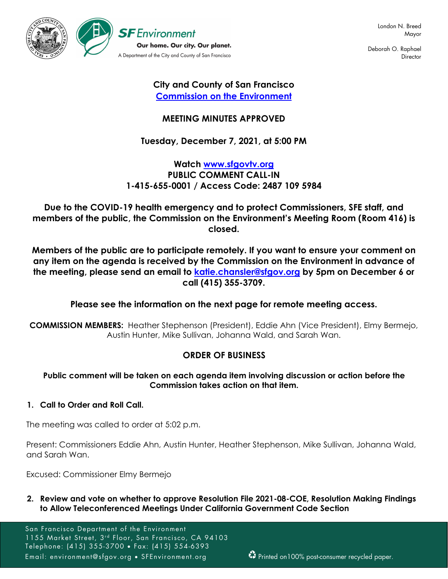

Deborah O. Raphael **Director** 

# **City and County of San Francisco [Commission on the Environment](https://sfenvironment.org/environment-commission)**

# **MEETING MINUTES APPROVED**

# **Tuesday, December 7, 2021, at 5:00 PM**

# **Watch [www.sfgovtv.org](https://sfgovtv.org/sfgovtv-live-events) PUBLIC COMMENT CALL-IN 1-415-655-0001 / Access Code: 2487 109 5984**

**Due to the COVID-19 health emergency and to protect Commissioners, SFE staff, and members of the public, the Commission on the Environment's Meeting Room (Room 416) is closed.**

**Members of the public are to participate remotely. If you want to ensure your comment on any item on the agenda is received by the Commission on the Environment in advance of the meeting, please send an email to [katie.chansler@sfgov.org](mailto:katie.chansler@sfgov.org) by 5pm on December 6 or call (415) 355-3709.** 

# **Please see the information on the next page for remote meeting access.**

**COMMISSION MEMBERS:** Heather Stephenson (President), Eddie Ahn (Vice President), Elmy Bermejo, Austin Hunter, Mike Sullivan, Johanna Wald, and Sarah Wan.

# **ORDER OF BUSINESS**

## **Public comment will be taken on each agenda item involving discussion or action before the Commission takes action on that item.**

## **1. Call to Order and Roll Call.**

The meeting was called to order at 5:02 p.m.

Present: Commissioners Eddie Ahn, Austin Hunter, Heather Stephenson, Mike Sullivan, Johanna Wald, and Sarah Wan.

Excused: Commissioner Elmy Bermejo

**2. Review and vote on whether to approve Resolution File 2021-08-COE, Resolution Making Findings to Allow Teleconferenced Meetings Under California Government Code Section** 

San Francisco Department of the Environment 1155 Market Street, 3rd Floor, San Francisco, CA 94103 Telephone: (415) 355-3700 • Fax: (415) 554-6393 Email: environment@sfgov.org • SFEnvironment.org **Printed on100%** post-consumer recycled paper.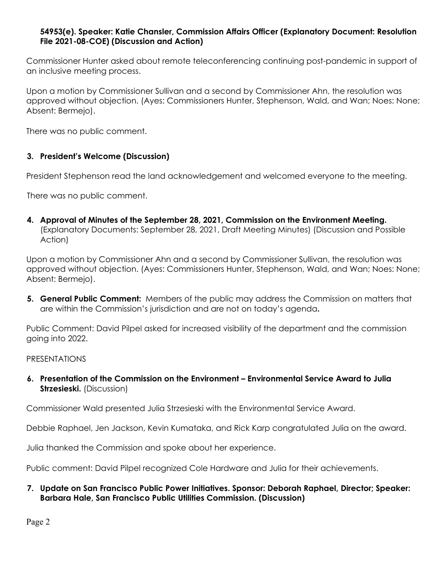## **54953(e). Speaker: Katie Chansler, Commission Affairs Officer (Explanatory Document: Resolution File 2021-08-COE) (Discussion and Action)**

Commissioner Hunter asked about remote teleconferencing continuing post-pandemic in support of an inclusive meeting process.

Upon a motion by Commissioner Sullivan and a second by Commissioner Ahn, the resolution was approved without objection. (Ayes: Commissioners Hunter, Stephenson, Wald, and Wan; Noes: None; Absent: Bermejo).

There was no public comment.

# **3. President's Welcome (Discussion)**

President Stephenson read the land acknowledgement and welcomed everyone to the meeting.

There was no public comment.

**4. Approval of Minutes of the September 28, 2021, Commission on the Environment Meeting.**  (Explanatory Documents: September 28, 2021, Draft Meeting Minutes) (Discussion and Possible Action)

Upon a motion by Commissioner Ahn and a second by Commissioner Sullivan, the resolution was approved without objection. (Ayes: Commissioners Hunter, Stephenson, Wald, and Wan; Noes: None; Absent: Bermejo).

**5. General Public Comment:** Members of the public may address the Commission on matters that are within the Commission's jurisdiction and are not on today's agenda**.**

Public Comment: David Pilpel asked for increased visibility of the department and the commission going into 2022.

#### PRESENTATIONS

**6. Presentation of the Commission on the Environment – Environmental Service Award to Julia Strzesieski.** (Discussion)

Commissioner Wald presented Julia Strzesieski with the Environmental Service Award.

Debbie Raphael, Jen Jackson, Kevin Kumataka, and Rick Karp congratulated Julia on the award.

Julia thanked the Commission and spoke about her experience.

Public comment: David Pilpel recognized Cole Hardware and Julia for their achievements.

## **7. Update on San Francisco Public Power Initiatives. Sponsor: Deborah Raphael, Director; Speaker: Barbara Hale, San Francisco Public Utilities Commission. (Discussion)**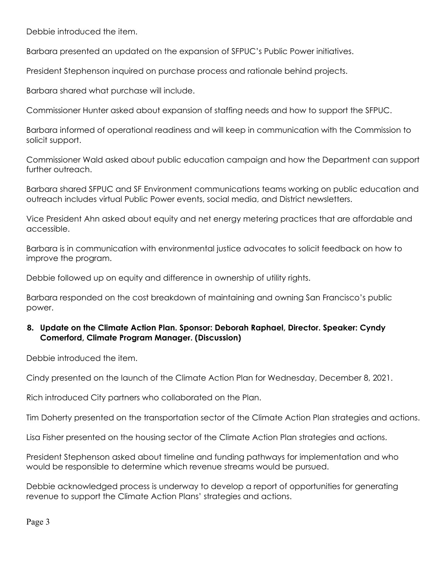Debbie introduced the item.

Barbara presented an updated on the expansion of SFPUC's Public Power initiatives.

President Stephenson inquired on purchase process and rationale behind projects.

Barbara shared what purchase will include.

Commissioner Hunter asked about expansion of staffing needs and how to support the SFPUC.

Barbara informed of operational readiness and will keep in communication with the Commission to solicit support.

Commissioner Wald asked about public education campaign and how the Department can support further outreach.

Barbara shared SFPUC and SF Environment communications teams working on public education and outreach includes virtual Public Power events, social media, and District newsletters.

Vice President Ahn asked about equity and net energy metering practices that are affordable and accessible.

Barbara is in communication with environmental justice advocates to solicit feedback on how to improve the program.

Debbie followed up on equity and difference in ownership of utility rights.

Barbara responded on the cost breakdown of maintaining and owning San Francisco's public power.

## **8. Update on the Climate Action Plan. Sponsor: Deborah Raphael, Director. Speaker: Cyndy Comerford, Climate Program Manager. (Discussion)**

Debbie introduced the item.

Cindy presented on the launch of the Climate Action Plan for Wednesday, December 8, 2021.

Rich introduced City partners who collaborated on the Plan.

Tim Doherty presented on the transportation sector of the Climate Action Plan strategies and actions.

Lisa Fisher presented on the housing sector of the Climate Action Plan strategies and actions.

President Stephenson asked about timeline and funding pathways for implementation and who would be responsible to determine which revenue streams would be pursued.

Debbie acknowledged process is underway to develop a report of opportunities for generating revenue to support the Climate Action Plans' strategies and actions.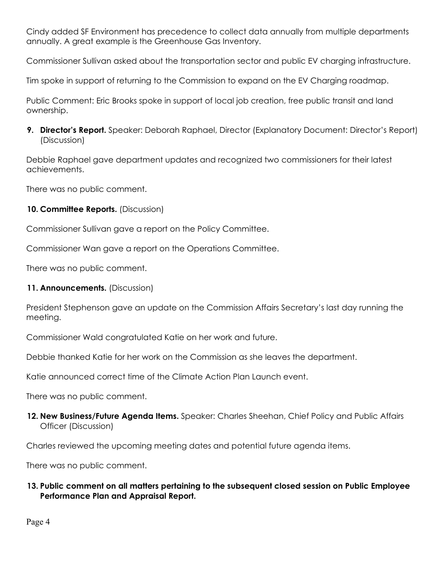Cindy added SF Environment has precedence to collect data annually from multiple departments annually. A great example is the Greenhouse Gas Inventory.

Commissioner Sullivan asked about the transportation sector and public EV charging infrastructure.

Tim spoke in support of returning to the Commission to expand on the EV Charging roadmap.

Public Comment: Eric Brooks spoke in support of local job creation, free public transit and land ownership.

**9. Director's Report.** Speaker: Deborah Raphael, Director (Explanatory Document: Director's Report) (Discussion)

Debbie Raphael gave department updates and recognized two commissioners for their latest achievements.

There was no public comment.

**10. Committee Reports.** (Discussion)

Commissioner Sullivan gave a report on the Policy Committee.

Commissioner Wan gave a report on the Operations Committee.

There was no public comment.

# **11. Announcements.** (Discussion)

President Stephenson gave an update on the Commission Affairs Secretary's last day running the meeting.

Commissioner Wald congratulated Katie on her work and future.

Debbie thanked Katie for her work on the Commission as she leaves the department.

Katie announced correct time of the Climate Action Plan Launch event.

There was no public comment.

**12. New Business/Future Agenda Items.** Speaker: Charles Sheehan, Chief Policy and Public Affairs Officer (Discussion)

Charles reviewed the upcoming meeting dates and potential future agenda items.

There was no public comment.

**13. Public comment on all matters pertaining to the subsequent closed session on Public Employee Performance Plan and Appraisal Report.**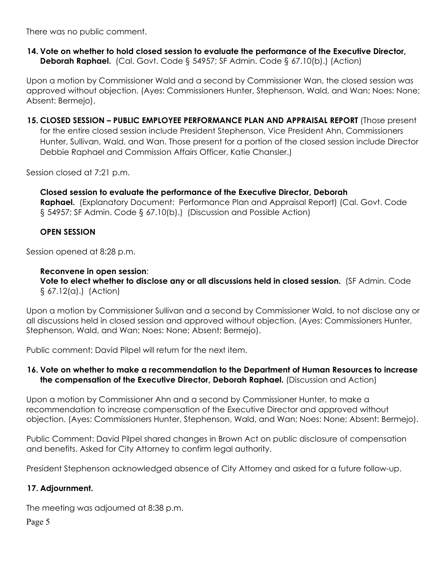There was no public comment.

### **14. Vote on whether to hold closed session to evaluate the performance of the Executive Director, Deborah Raphael.** (Cal. Govt. Code § 54957; SF Admin. Code § 67.10(b).) (Action)

Upon a motion by Commissioner Wald and a second by Commissioner Wan, the closed session was approved without objection. (Ayes: Commissioners Hunter, Stephenson, Wald, and Wan; Noes: None; Absent: Bermejo).

**15. CLOSED SESSION – PUBLIC EMPLOYEE PERFORMANCE PLAN AND APPRAISAL REPORT** (Those present for the entire closed session include President Stephenson, Vice President Ahn, Commissioners Hunter, Sullivan, Wald, and Wan. Those present for a portion of the closed session include Director Debbie Raphael and Commission Affairs Officer, Katie Chansler.)

Session closed at 7:21 p.m.

#### **Closed session to evaluate the performance of the Executive Director, Deborah**

**Raphael.** (Explanatory Document: Performance Plan and Appraisal Report) (Cal. Govt. Code § 54957; SF Admin. Code § 67.10(b).) (Discussion and Possible Action)

#### **OPEN SESSION**

Session opened at 8:28 p.m.

#### **Reconvene in open session**:

**Vote to elect whether to disclose any or all discussions held in closed session.** (SF Admin. Code § 67.12(a).) (Action)

Upon a motion by Commissioner Sullivan and a second by Commissioner Wald, to not disclose any or all discussions held in closed session and approved without objection. (Ayes: Commissioners Hunter, Stephenson, Wald, and Wan; Noes: None; Absent: Bermejo).

Public comment: David Pilpel will return for the next item.

### **16. Vote on whether to make a recommendation to the Department of Human Resources to increase the compensation of the Executive Director, Deborah Raphael.** (Discussion and Action)

Upon a motion by Commissioner Ahn and a second by Commissioner Hunter, to make a recommendation to increase compensation of the Executive Director and approved without objection. (Ayes: Commissioners Hunter, Stephenson, Wald, and Wan; Noes: None; Absent: Bermejo).

Public Comment: David Pilpel shared changes in Brown Act on public disclosure of compensation and benefits. Asked for City Attorney to confirm legal authority.

President Stephenson acknowledged absence of City Attorney and asked for a future follow-up.

#### **17. Adjournment.**

The meeting was adjourned at 8:38 p.m.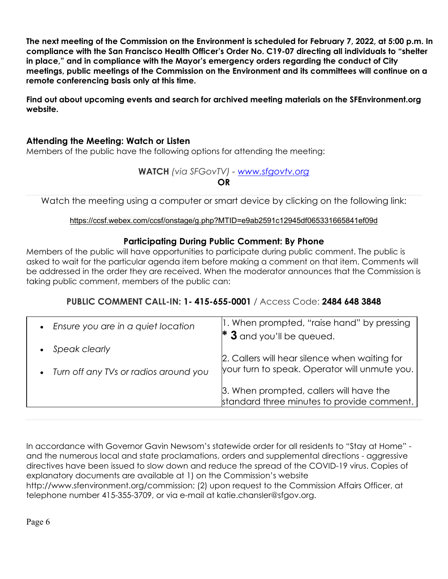**The next meeting of the Commission on the Environment is scheduled for February 7, 2022, at 5:00 p.m. In compliance with the San Francisco Health Officer's Order No. C19-07 directing all individuals to "shelter in place," and in compliance with the Mayor's emergency orders regarding the conduct of City meetings, public meetings of the Commission on the Environment and its committees will continue on a remote conferencing basis only at this time.**

**Find out about upcoming events and search for archived meeting materials on the SFEnvironment.org website.**

# **Attending the Meeting: Watch or Listen**

Members of the public have the following options for attending the meeting:

# **WATCH** *(via SFGovTV) - [www.sfgovtv.org](https://sfgovtv.org/sfgovtv-live-events)* **OR**

Watch the meeting using a computer or smart device by clicking on the following link:

### https://ccsf.webex.com/ccsf/onstage/g.php?MTID=e9ab2591c12945df065331665841ef09d

# **Participating During Public Comment: By Phone**

Members of the public will have opportunities to participate during public comment. The public is asked to wait for the particular agenda item before making a comment on that item. Comments will be addressed in the order they are received. When the moderator announces that the Commission is taking public comment, members of the public can:

# **PUBLIC COMMENT CALL-IN: 1- 415-655-0001** / Access Code: **2484 648 3848**

| Ensure you are in a quiet location<br>$\bullet$ | 1. When prompted, "raise hand" by pressing                                                     |
|-------------------------------------------------|------------------------------------------------------------------------------------------------|
|                                                 | $*$ 3 and you'll be queued.                                                                    |
| Speak clearly                                   |                                                                                                |
| • Turn off any TVs or radios around you         | 2. Callers will hear silence when waiting for<br>your turn to speak. Operator will unmute you. |
|                                                 | 3. When prompted, callers will have the<br>standard three minutes to provide comment.          |

In accordance with Governor Gavin Newsom's statewide order for all residents to "Stay at Home" and the numerous local and state proclamations, orders and supplemental directions - aggressive directives have been issued to slow down and reduce the spread of the COVID-19 virus. Copies of explanatory documents are available at 1) on the Commission's website http://www.sfenvironment.org/commission; (2) upon request to the Commission Affairs Officer, at telephone number 415-355-3709, or via e-mail at katie.chansler@sfgov.org.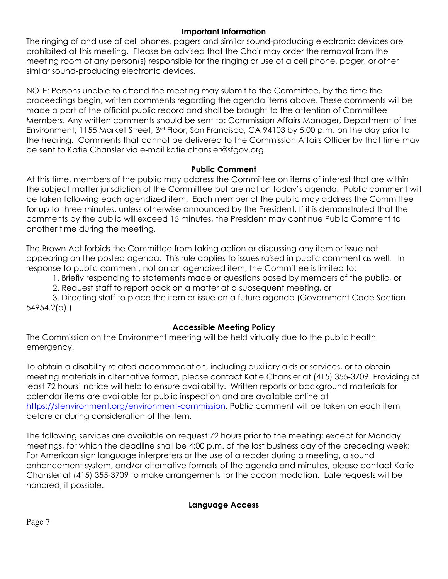## **Important Information**

The ringing of and use of cell phones, pagers and similar sound-producing electronic devices are prohibited at this meeting. Please be advised that the Chair may order the removal from the meeting room of any person(s) responsible for the ringing or use of a cell phone, pager, or other similar sound-producing electronic devices.

NOTE: Persons unable to attend the meeting may submit to the Committee, by the time the proceedings begin, written comments regarding the agenda items above. These comments will be made a part of the official public record and shall be brought to the attention of Committee Members. Any written comments should be sent to: Commission Affairs Manager, Department of the Environment, 1155 Market Street, 3rd Floor, San Francisco, CA 94103 by 5:00 p.m. on the day prior to the hearing. Comments that cannot be delivered to the Commission Affairs Officer by that time may be sent to Katie Chansler via e-mail katie.chansler@sfgov.org.

### **Public Comment**

At this time, members of the public may address the Committee on items of interest that are within the subject matter jurisdiction of the Committee but are not on today's agenda. Public comment will be taken following each agendized item. Each member of the public may address the Committee for up to three minutes, unless otherwise announced by the President. If it is demonstrated that the comments by the public will exceed 15 minutes, the President may continue Public Comment to another time during the meeting.

The Brown Act forbids the Committee from taking action or discussing any item or issue not appearing on the posted agenda. This rule applies to issues raised in public comment as well. In response to public comment, not on an agendized item, the Committee is limited to:

1. Briefly responding to statements made or questions posed by members of the public, or

2. Request staff to report back on a matter at a subsequent meeting, or

3. Directing staff to place the item or issue on a future agenda (Government Code Section 54954.2(a).)

## **Accessible Meeting Policy**

The Commission on the Environment meeting will be held virtually due to the public health emergency.

To obtain a disability-related accommodation, including auxiliary aids or services, or to obtain meeting materials in alternative format, please contact Katie Chansler at (415) 355-3709. Providing at least 72 hours' notice will help to ensure availability. Written reports or background materials for calendar items are available for public inspection and are available online at [https://sfenvironment.org/environment-commission.](https://sfenvironment.org/environment-commission) Public comment will be taken on each item before or during consideration of the item.

The following services are available on request 72 hours prior to the meeting; except for Monday meetings, for which the deadline shall be 4:00 p.m. of the last business day of the preceding week: For American sign language interpreters or the use of a reader during a meeting, a sound enhancement system, and/or alternative formats of the agenda and minutes, please contact Katie Chansler at (415) 355-3709 to make arrangements for the accommodation. Late requests will be honored, if possible.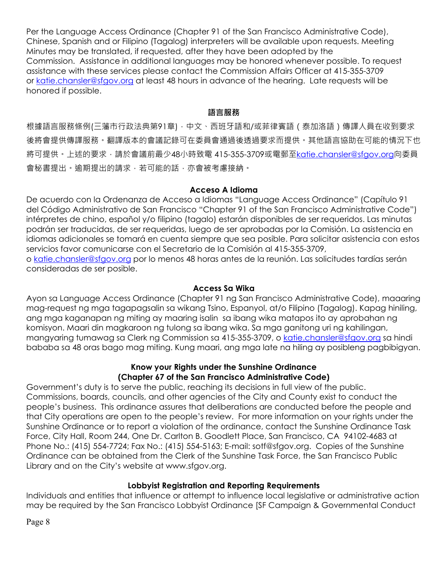Per the Language Access Ordinance (Chapter 91 of the San Francisco Administrative Code), Chinese, Spanish and or Filipino (Tagalog) interpreters will be available upon requests. Meeting Minutes may be translated, if requested, after they have been adopted by the Commission. Assistance in additional languages may be honored whenever possible. To request assistance with these services please contact the Commission Affairs Officer at 415-355-3709 or [katie.chansler@sfgov.org](mailto:katie.chansler@sfgov.org) at least 48 hours in advance of the hearing. Late requests will be honored if possible.

#### **語言服務**

根據語言服務條例(三藩市行政法典第91章),中文、西班牙語和/或菲律賓語 (泰加洛語)傳譯人員在收到要求 後將會提供傳譯服務。翻譯版本的會議記錄可在委員會通過後透過要求而提供。其他語言協助在可能的情況下也 將可提供。上述的要求,請於會議前最少48小時致電 415-355-3709或電郵至[katie.chansler@sfgov.org](mailto:katie.chansler@sfgov.org)向委員 會秘書提出。逾期提出的請求,若可能的話,亦會被考慮接納。

#### **Acceso A Idioma**

De acuerdo con la Ordenanza de Acceso a Idiomas "Language Access Ordinance" (Capítulo 91 del Código Administrativo de San Francisco "Chapter 91 of the San Francisco Administrative Code") intérpretes de chino, español y/o filipino (tagalo) estarán disponibles de ser requeridos. Las minutas podrán ser traducidas, de ser requeridas, luego de ser aprobadas por la Comisión. La asistencia en idiomas adicionales se tomará en cuenta siempre que sea posible. Para solicitar asistencia con estos servicios favor comunicarse con el Secretario de la Comisión al 415-355-3709, o [katie.chansler@sfgov.org](mailto:katie.chansler@sfgov.org) por lo menos 48 horas antes de la reunión. Las solicitudes tardías serán

consideradas de ser posible.

#### **Access Sa Wika**

Ayon sa Language Access Ordinance (Chapter 91 ng San Francisco Administrative Code), maaaring mag-request ng mga tagapagsalin sa wikang Tsino, Espanyol, at/o Filipino (Tagalog). Kapag hiniling, ang mga kaganapan ng miting ay maaring isalin sa ibang wika matapos ito ay aprobahan ng komisyon. Maari din magkaroon ng tulong sa ibang wika. Sa mga ganitong uri ng kahilingan, mangyaring tumawag sa Clerk ng Commission sa 415-355-3709, o [katie.chansler@sfgov.org](mailto:katie.chansler@sfgov.org) sa hindi bababa sa 48 oras bago mag miting. Kung maari, ang mga late na hiling ay posibleng pagbibigyan.

### **Know your Rights under the Sunshine Ordinance (Chapter 67 of the San Francisco Administrative Code)**

Government's duty is to serve the public, reaching its decisions in full view of the public. Commissions, boards, councils, and other agencies of the City and County exist to conduct the people's business. This ordinance assures that deliberations are conducted before the people and that City operations are open to the people's review. For more information on your rights under the Sunshine Ordinance or to report a violation of the ordinance, contact the Sunshine Ordinance Task Force, City Hall, Room 244, One Dr. Carlton B. Goodlett Place, San Francisco, CA 94102-4683 at Phone No.: (415) 554-7724; Fax No.: (415) 554-5163; E-mail: sotf@sfgov.org. Copies of the Sunshine Ordinance can be obtained from the Clerk of the Sunshine Task Force, the San Francisco Public Library and on the City's website at www.sfgov.org.

#### **Lobbyist Registration and Reporting Requirements**

Individuals and entities that influence or attempt to influence local legislative or administrative action may be required by the San Francisco Lobbyist Ordinance [SF Campaign & Governmental Conduct